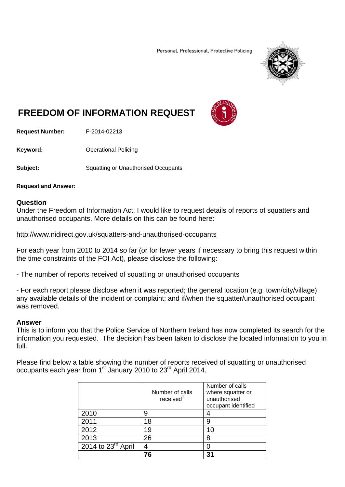Personal, Professional, Protective Policing



# **FREEDOM OF INFORMATION REQUEST**



**Request Number:** F-2014-02213

**Keyword: C**Derational Policing

**Subject:** Squatting or Unauthorised Occupants

#### **Request and Answer:**

### **Question**

Under the Freedom of Information Act, I would like to request details of reports of squatters and unauthorised occupants. More details on this can be found here:

### http://www.nidirect.gov.uk/squatters-and-unauthorised-occupants

For each year from 2010 to 2014 so far (or for fewer years if necessary to bring this request within the time constraints of the FOI Act), please disclose the following:

- The number of reports received of squatting or unauthorised occupants

- For each report please disclose when it was reported; the general location (e.g. town/city/village); any available details of the incident or complaint; and if/when the squatter/unauthorised occupant was removed.

## **Answer**

This is to inform you that the Police Service of Northern Ireland has now completed its search for the information you requested. The decision has been taken to disclose the located information to you in full.

Please find below a table showing the number of reports received of squatting or unauthorised occupants each year from 1<sup>st</sup> January 2010 to 23<sup>rd</sup> April 2014.

|                      | Number of calls<br>received <sup>1</sup> | Number of calls<br>where squatter or<br>unauthorised<br>occupant identified |  |
|----------------------|------------------------------------------|-----------------------------------------------------------------------------|--|
| 2010                 | 9                                        |                                                                             |  |
| 2011                 | 18                                       | 9                                                                           |  |
| 2012                 | 19                                       | 10                                                                          |  |
| 2013                 | 26                                       | 8                                                                           |  |
| 2014 to $23rd$ April |                                          |                                                                             |  |
|                      |                                          |                                                                             |  |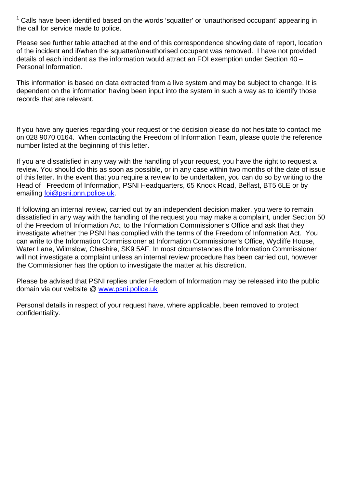<sup>1</sup> Calls have been identified based on the words 'squatter' or 'unauthorised occupant' appearing in the call for service made to police.

Please see further table attached at the end of this correspondence showing date of report, location of the incident and if/when the squatter/unauthorised occupant was removed. I have not provided details of each incident as the information would attract an FOI exemption under Section 40 – Personal Information.

This information is based on data extracted from a live system and may be subject to change. It is dependent on the information having been input into the system in such a way as to identify those records that are relevant.

If you have any queries regarding your request or the decision please do not hesitate to contact me on 028 9070 0164. When contacting the Freedom of Information Team, please quote the reference number listed at the beginning of this letter.

If you are dissatisfied in any way with the handling of your request, you have the right to request a review. You should do this as soon as possible, or in any case within two months of the date of issue of this letter. In the event that you require a review to be undertaken, you can do so by writing to the Head of Freedom of Information, PSNI Headquarters, 65 Knock Road, Belfast, BT5 6LE or by emailing foi@psni.pnn.police.uk.

If following an internal review, carried out by an independent decision maker, you were to remain dissatisfied in any way with the handling of the request you may make a complaint, under Section 50 of the Freedom of Information Act, to the Information Commissioner's Office and ask that they investigate whether the PSNI has complied with the terms of the Freedom of Information Act. You can write to the Information Commissioner at Information Commissioner's Office, Wycliffe House, Water Lane, Wilmslow, Cheshire, SK9 5AF. In most circumstances the Information Commissioner will not investigate a complaint unless an internal review procedure has been carried out, however the Commissioner has the option to investigate the matter at his discretion.

Please be advised that PSNI replies under Freedom of Information may be released into the public domain via our website @ www.psni.police.uk

Personal details in respect of your request have, where applicable, been removed to protect confidentiality.